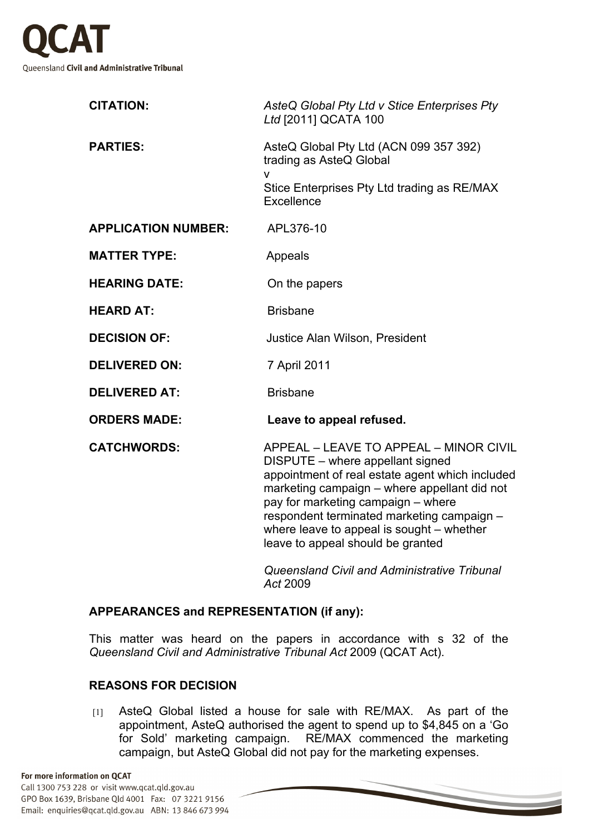

| <b>CITATION:</b>           | AsteQ Global Pty Ltd v Stice Enterprises Pty<br>Ltd [2011] QCATA 100                                                                                                                                                                                                                                                                                |
|----------------------------|-----------------------------------------------------------------------------------------------------------------------------------------------------------------------------------------------------------------------------------------------------------------------------------------------------------------------------------------------------|
| <b>PARTIES:</b>            | AsteQ Global Pty Ltd (ACN 099 357 392)<br>trading as AsteQ Global<br>$\mathsf{V}$                                                                                                                                                                                                                                                                   |
|                            | Stice Enterprises Pty Ltd trading as RE/MAX<br>Excellence                                                                                                                                                                                                                                                                                           |
| <b>APPLICATION NUMBER:</b> | APL376-10                                                                                                                                                                                                                                                                                                                                           |
| <b>MATTER TYPE:</b>        | Appeals                                                                                                                                                                                                                                                                                                                                             |
| <b>HEARING DATE:</b>       | On the papers                                                                                                                                                                                                                                                                                                                                       |
| <b>HEARD AT:</b>           | <b>Brisbane</b>                                                                                                                                                                                                                                                                                                                                     |
| <b>DECISION OF:</b>        | <b>Justice Alan Wilson, President</b>                                                                                                                                                                                                                                                                                                               |
| <b>DELIVERED ON:</b>       | 7 April 2011                                                                                                                                                                                                                                                                                                                                        |
| <b>DELIVERED AT:</b>       | <b>Brisbane</b>                                                                                                                                                                                                                                                                                                                                     |
| <b>ORDERS MADE:</b>        | Leave to appeal refused.                                                                                                                                                                                                                                                                                                                            |
| <b>CATCHWORDS:</b>         | APPEAL - LEAVE TO APPEAL - MINOR CIVIL<br>DISPUTE - where appellant signed<br>appointment of real estate agent which included<br>marketing campaign - where appellant did not<br>pay for marketing campaign - where<br>respondent terminated marketing campaign -<br>where leave to appeal is sought - whether<br>leave to appeal should be granted |
|                            |                                                                                                                                                                                                                                                                                                                                                     |

*Queensland Civil and Administrative Tribunal Act* 2009

## **APPEARANCES and REPRESENTATION (if any):**

This matter was heard on the papers in accordance with s 32 of the *Queensland Civil and Administrative Tribunal Act* 2009 (QCAT Act).

## **REASONS FOR DECISION**

[1] AsteQ Global listed a house for sale with RE/MAX. As part of the appointment, AsteQ authorised the agent to spend up to \$4,845 on a 'Go for Sold' marketing campaign. RE/MAX commenced the marketing campaign, but AsteQ Global did not pay for the marketing expenses.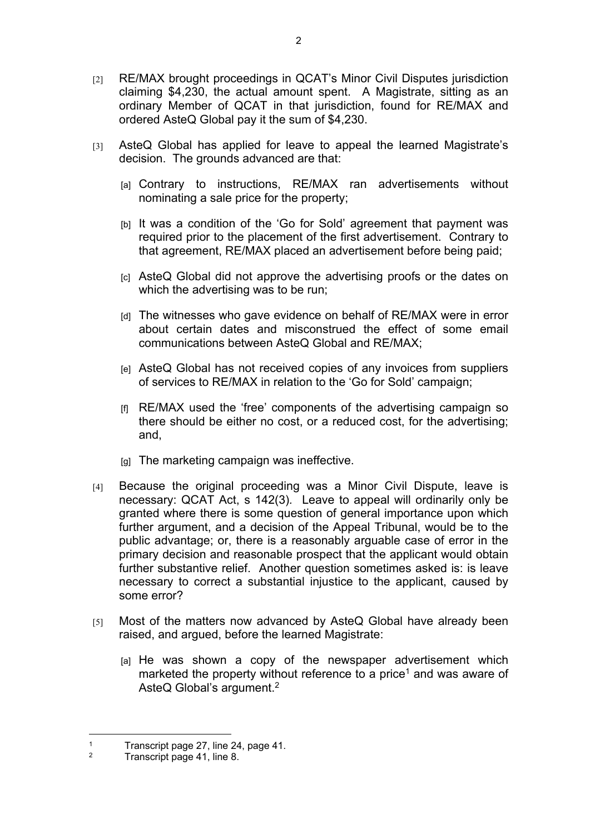- [2] RE/MAX brought proceedings in QCAT's Minor Civil Disputes jurisdiction claiming \$4,230, the actual amount spent. A Magistrate, sitting as an ordinary Member of QCAT in that jurisdiction, found for RE/MAX and ordered AsteQ Global pay it the sum of \$4,230.
- [3] AsteQ Global has applied for leave to appeal the learned Magistrate's decision. The grounds advanced are that:
	- [a] Contrary to instructions, RE/MAX ran advertisements without nominating a sale price for the property;
	- [b] It was a condition of the 'Go for Sold' agreement that payment was required prior to the placement of the first advertisement. Contrary to that agreement, RE/MAX placed an advertisement before being paid;
	- [c] AsteQ Global did not approve the advertising proofs or the dates on which the advertising was to be run;
	- [d] The witnesses who gave evidence on behalf of RE/MAX were in error about certain dates and misconstrued the effect of some email communications between AsteQ Global and RE/MAX;
	- [e] AsteQ Global has not received copies of any invoices from suppliers of services to RE/MAX in relation to the 'Go for Sold' campaign;
	- [f] RE/MAX used the 'free' components of the advertising campaign so there should be either no cost, or a reduced cost, for the advertising; and,
	- [g] The marketing campaign was ineffective.
- [4] Because the original proceeding was a Minor Civil Dispute, leave is necessary: QCAT Act, s 142(3)*.* Leave to appeal will ordinarily only be granted where there is some question of general importance upon which further argument, and a decision of the Appeal Tribunal, would be to the public advantage; or, there is a reasonably arguable case of error in the primary decision and reasonable prospect that the applicant would obtain further substantive relief. Another question sometimes asked is: is leave necessary to correct a substantial injustice to the applicant, caused by some error?
- [5] Most of the matters now advanced by AsteQ Global have already been raised, and argued, before the learned Magistrate:
	- [a] He was shown a copy of the newspaper advertisement which marketed the property without reference to a price<sup>1</sup> and was aware of AsteQ Global's argument.<sup>2</sup>

<sup>1</sup> Transcript page 27, line 24, page 41.

<sup>2</sup> Transcript page 41, line 8.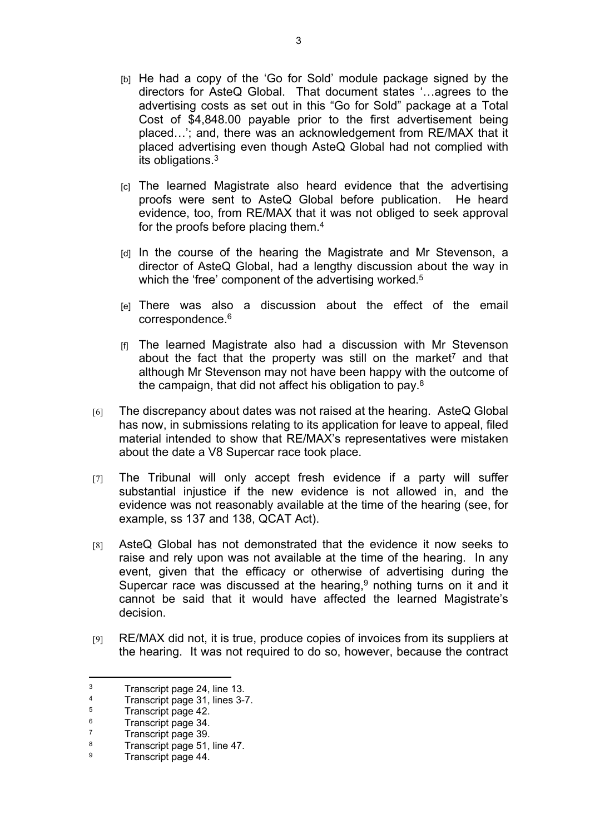- [b] He had a copy of the 'Go for Sold' module package signed by the directors for AsteQ Global. That document states '…agrees to the advertising costs as set out in this "Go for Sold" package at a Total Cost of \$4,848.00 payable prior to the first advertisement being placed…'; and, there was an acknowledgement from RE/MAX that it placed advertising even though AsteQ Global had not complied with its obligations.<sup>3</sup>
- [c] The learned Magistrate also heard evidence that the advertising proofs were sent to AsteQ Global before publication. He heard evidence, too, from RE/MAX that it was not obliged to seek approval for the proofs before placing them.<sup>4</sup>
- [d] In the course of the hearing the Magistrate and Mr Stevenson, a director of AsteQ Global, had a lengthy discussion about the way in which the 'free' component of the advertising worked.<sup>5</sup>
- [e] There was also a discussion about the effect of the email correspondence.<sup>6</sup>
- [f] The learned Magistrate also had a discussion with Mr Stevenson about the fact that the property was still on the market<sup>7</sup> and that although Mr Stevenson may not have been happy with the outcome of the campaign, that did not affect his obligation to pay.<sup>8</sup>
- [6] The discrepancy about dates was not raised at the hearing. AsteQ Global has now, in submissions relating to its application for leave to appeal, filed material intended to show that RE/MAX's representatives were mistaken about the date a V8 Supercar race took place.
- [7] The Tribunal will only accept fresh evidence if a party will suffer substantial injustice if the new evidence is not allowed in, and the evidence was not reasonably available at the time of the hearing (see, for example, ss 137 and 138, QCAT Act).
- [8] AsteQ Global has not demonstrated that the evidence it now seeks to raise and rely upon was not available at the time of the hearing. In any event, given that the efficacy or otherwise of advertising during the Supercar race was discussed at the hearing, $9$  nothing turns on it and it cannot be said that it would have affected the learned Magistrate's decision.
- [9] RE/MAX did not, it is true, produce copies of invoices from its suppliers at the hearing. It was not required to do so, however, because the contract

<sup>3</sup> Transcript page 24, line 13.

<sup>4</sup> Transcript page 31, lines 3-7.

<sup>5</sup> Transcript page 42.

<sup>6</sup> Transcript page 34.

<sup>7</sup> Transcript page 39.

<sup>8</sup> Transcript page 51, line 47.

<sup>9</sup> Transcript page 44.